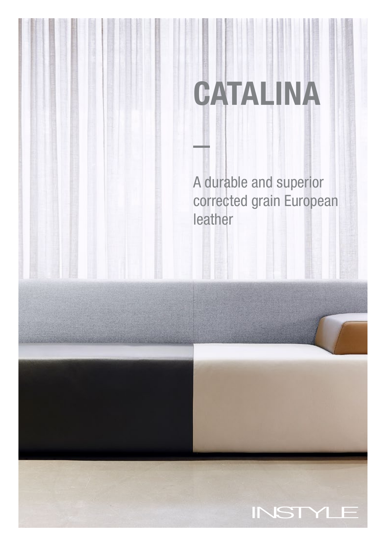A durable and superior corrected grain European leather

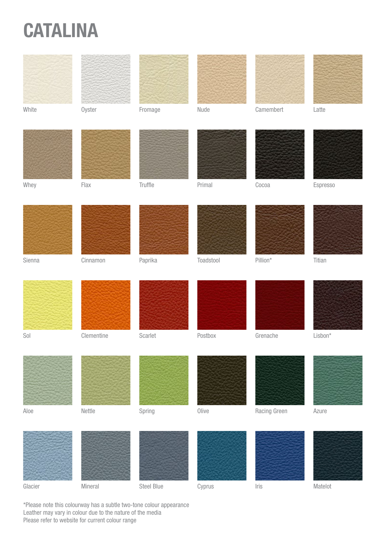







White Oyster Fromage Nude Camembert Latte













Sienna Cinnamon Paprika Toadstool Pillion\* Titian Sol Clementine Scarlet Postbox Grenache Lisbon\* Aloe **Nettle Spring Olive Racing Green** Azure

Glacier Mineral Steel Blue Cyprus Iris Matelot

\*Please note this colourway has a subtle two-tone colour appearance Leather may vary in colour due to the nature of the media Please refer to website for current colour range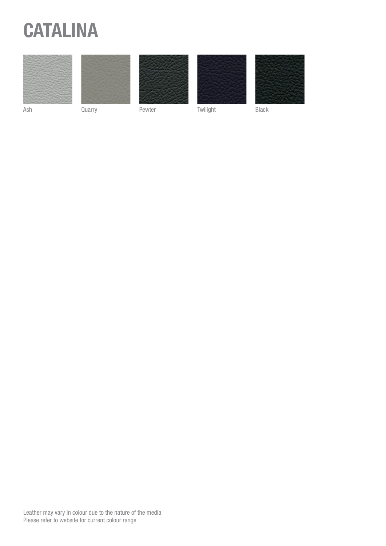





Ash Quarry Pewter Twilight Black